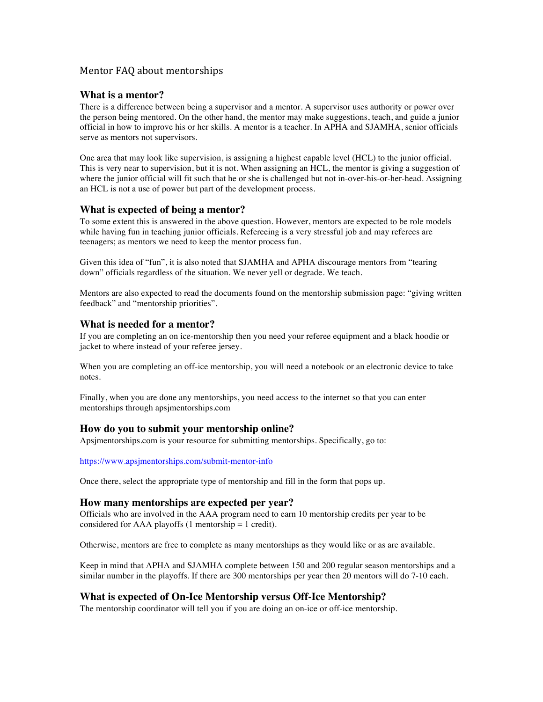# Mentor FAQ about mentorships

## **What is a mentor?**

There is a difference between being a supervisor and a mentor. A supervisor uses authority or power over the person being mentored. On the other hand, the mentor may make suggestions, teach, and guide a junior official in how to improve his or her skills. A mentor is a teacher. In APHA and SJAMHA, senior officials serve as mentors not supervisors.

One area that may look like supervision, is assigning a highest capable level (HCL) to the junior official. This is very near to supervision, but it is not. When assigning an HCL, the mentor is giving a suggestion of where the junior official will fit such that he or she is challenged but not in-over-his-or-her-head. Assigning an HCL is not a use of power but part of the development process.

## **What is expected of being a mentor?**

To some extent this is answered in the above question. However, mentors are expected to be role models while having fun in teaching junior officials. Refereeing is a very stressful job and may referees are teenagers; as mentors we need to keep the mentor process fun.

Given this idea of "fun", it is also noted that SJAMHA and APHA discourage mentors from "tearing down" officials regardless of the situation. We never yell or degrade. We teach.

Mentors are also expected to read the documents found on the mentorship submission page: "giving written feedback" and "mentorship priorities".

#### **What is needed for a mentor?**

If you are completing an on ice-mentorship then you need your referee equipment and a black hoodie or jacket to where instead of your referee jersey.

When you are completing an off-ice mentorship, you will need a notebook or an electronic device to take notes.

Finally, when you are done any mentorships, you need access to the internet so that you can enter mentorships through apsjmentorships.com

## **How do you to submit your mentorship online?**

Apsjmentorships.com is your resource for submitting mentorships. Specifically, go to:

https://www.apsjmentorships.com/submit-mentor-info

Once there, select the appropriate type of mentorship and fill in the form that pops up.

#### **How many mentorships are expected per year?**

Officials who are involved in the AAA program need to earn 10 mentorship credits per year to be considered for AAA playoffs  $(1$  mentorship = 1 credit).

Otherwise, mentors are free to complete as many mentorships as they would like or as are available.

Keep in mind that APHA and SJAMHA complete between 150 and 200 regular season mentorships and a similar number in the playoffs. If there are 300 mentorships per year then 20 mentors will do 7-10 each.

## **What is expected of On-Ice Mentorship versus Off-Ice Mentorship?**

The mentorship coordinator will tell you if you are doing an on-ice or off-ice mentorship.